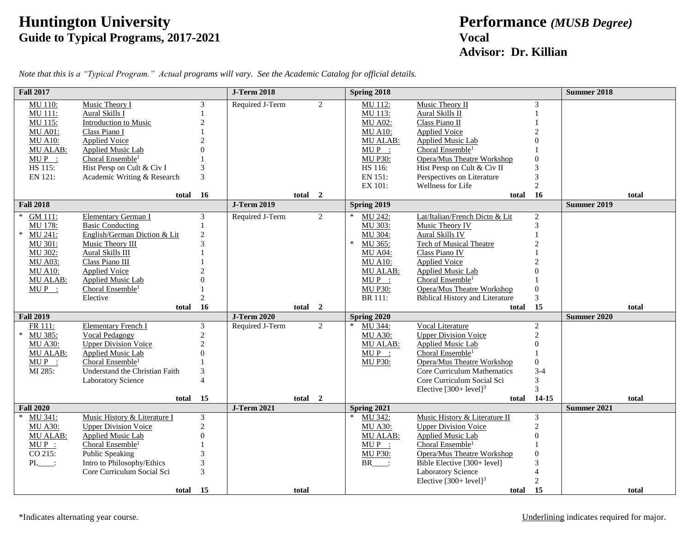## **Huntington University Performance** *(MUSB Degree)* **Guide to Typical Programs, 2017-2021 Vocal**

## **Advisor: Dr. Killian**

| <b>Fall 2017</b> |                                |                    | <b>J-Term 2018</b> |         |   | Spring 2018          |                                        |                          | Summer 2018        |       |
|------------------|--------------------------------|--------------------|--------------------|---------|---|----------------------|----------------------------------------|--------------------------|--------------------|-------|
| MU 110:          | Music Theory I                 | 3                  | Required J-Term    |         | 2 | $\overline{MU}$ 112: | Music Theory II                        | 3                        |                    |       |
| MU 111:          | Aural Skills I                 |                    |                    |         |   | MU 113:              | Aural Skills II                        |                          |                    |       |
| MU 115:          | Introduction to Music          | $\overline{c}$     |                    |         |   | <b>MU A02:</b>       | Class Piano II                         |                          |                    |       |
| <b>MU A01:</b>   | Class Piano I                  |                    |                    |         |   | <b>MU A10:</b>       | <b>Applied Voice</b>                   | $\overline{2}$           |                    |       |
| <b>MU A10:</b>   | <b>Applied Voice</b>           |                    |                    |         |   | <b>MU ALAB:</b>      | Applied Music Lab                      | $\Omega$                 |                    |       |
| MU ALAB:         | <b>Applied Music Lab</b>       |                    |                    |         |   | $MUP$ :              | Choral Ensemble <sup>1</sup>           |                          |                    |       |
| $MUP$ :          | Choral Ensemble <sup>1</sup>   |                    |                    |         |   | <b>MU P30:</b>       | <b>Opera/Mus Theatre Workshop</b>      | $\boldsymbol{0}$         |                    |       |
| HS 115:          | Hist Persp on Cult & Civ I     | 3                  |                    |         |   | HS 116:              | Hist Persp on Cult & Civ II            | 3                        |                    |       |
| EN 121:          | Academic Writing & Research    | 3                  |                    |         |   | EN 151:              | Perspectives on Literature             | 3                        |                    |       |
|                  |                                |                    |                    |         |   | EX 101:              | Wellness for Life                      | $\overline{c}$           |                    |       |
|                  |                                | 16<br>total        |                    | total 2 |   |                      | total                                  | 16                       |                    | total |
| <b>Fall 2018</b> |                                |                    | <b>J-Term 2019</b> |         |   | Spring 2019          |                                        |                          | <b>Summer 2019</b> |       |
| GM 111:          | Elementary German I            | 3                  | Required J-Term    |         | 2 | $\ast$<br>MU 242:    | Lat/Italian/French Dictn & Lit         | $\overline{2}$           |                    |       |
| MU 178:          | <b>Basic Conducting</b>        |                    |                    |         |   | MU 303:              | Music Theory IV                        | 3                        |                    |       |
| MU 241:          | English/German Diction & Lit   | $\overline{c}$     |                    |         |   | MU 304:              | Aural Skills IV                        |                          |                    |       |
| MU 301:          | Music Theory III               | 3                  |                    |         |   | $\ast$<br>MU 365:    | <b>Tech of Musical Theatre</b>         | $\overline{2}$           |                    |       |
| MU 302:          | <b>Aural Skills III</b>        |                    |                    |         |   | <b>MU A04:</b>       | Class Piano IV                         |                          |                    |       |
| <b>MU A03:</b>   | Class Piano III                |                    |                    |         |   | <b>MU A10:</b>       | <b>Applied Voice</b>                   | $\overline{2}$           |                    |       |
| <b>MU A10:</b>   | <b>Applied Voice</b>           |                    |                    |         |   | <b>MU ALAB:</b>      | Applied Music Lab                      | $\Omega$                 |                    |       |
| MU ALAB:         | Applied Music Lab              |                    |                    |         |   | $MUP$ :              | Choral Ensemble <sup>1</sup>           |                          |                    |       |
| MUP:             | Choral Ensemble <sup>1</sup>   |                    |                    |         |   | <b>MU P30:</b>       | <b>Opera/Mus Theatre Workshop</b>      | $\boldsymbol{0}$         |                    |       |
|                  | Elective                       | $\overline{2}$     |                    |         |   | BR 111:              | <b>Biblical History and Literature</b> | 3                        |                    |       |
|                  |                                | 16<br>total        |                    | total 2 |   |                      | total                                  | 15                       |                    | total |
| <b>Fall 2019</b> |                                |                    | <b>J-Term 2020</b> |         |   | Spring 2020          |                                        |                          | <b>Summer 2020</b> |       |
| FR 111:          | Elementary French I            | 3                  | Required J-Term    |         | 2 | MU 344:              | <b>Vocal Literature</b>                | $\overline{2}$           |                    |       |
| MU 385:          | <b>Vocal Pedagogy</b>          | $\overline{c}$     |                    |         |   | <b>MU A30:</b>       | <b>Upper Division Voice</b>            | $\overline{2}$           |                    |       |
| <b>MU A30:</b>   | <b>Upper Division Voice</b>    | $\overline{c}$     |                    |         |   | <b>MU ALAB:</b>      | Applied Music Lab                      | $\theta$                 |                    |       |
| <b>MU ALAB:</b>  | Applied Music Lab              | $\Omega$           |                    |         |   | $MUP$ :              | Choral Ensemble <sup>1</sup>           |                          |                    |       |
| $MUP$ :          | Choral Ensemble <sup>1</sup>   |                    |                    |         |   | <b>MU P30:</b>       | Opera/Mus Theatre Workshop             | $\overline{0}$           |                    |       |
| MI 285:          | Understand the Christian Faith | 3                  |                    |         |   |                      | Core Curriculum Mathematics            | $3-4$                    |                    |       |
|                  | Laboratory Science             | $\overline{4}$     |                    |         |   |                      | Core Curriculum Social Sci             | 3                        |                    |       |
|                  |                                |                    |                    |         |   |                      | Elective $[300+level]^3$               | $\mathcal{R}$            |                    |       |
|                  |                                | 15<br>total        |                    | total 2 |   |                      | total                                  | $14-15$                  |                    | total |
| <b>Fall 2020</b> |                                |                    | <b>J-Term 2021</b> |         |   | Spring 2021          |                                        |                          | <b>Summer 2021</b> |       |
| MU 341:          | Music History & Literature I   | $\overline{3}$     |                    |         |   | MU 342:<br>$\ast$    | Music History & Literature II          | 3                        |                    |       |
| <b>MU A30:</b>   | <b>Upper Division Voice</b>    | $\overline{c}$     |                    |         |   | <b>MU A30:</b>       | <b>Upper Division Voice</b>            | $\overline{2}$           |                    |       |
| <b>MU ALAB:</b>  | Applied Music Lab              | $\Omega$           |                    |         |   | <b>MU ALAB:</b>      | <b>Applied Music Lab</b>               | $\Omega$                 |                    |       |
| $MUP$ :          | Choral Ensemble <sup>1</sup>   |                    |                    |         |   | $MUP$ :              | Choral Ensemble <sup>1</sup>           |                          |                    |       |
| CO 215:          | <b>Public Speaking</b>         | $\mathcal{R}$      |                    |         |   | <b>MU P30:</b>       | <b>Opera/Mus Theatre Workshop</b>      | $\Omega$                 |                    |       |
| $PL$ :           | Intro to Philosophy/Ethics     | 3                  |                    |         |   | $BR$ <sub>:</sub>    | Bible Elective [300+ level]            | 3                        |                    |       |
|                  | Core Curriculum Social Sci     | 3                  |                    |         |   |                      | <b>Laboratory Science</b>              | $\overline{\mathcal{A}}$ |                    |       |
|                  |                                |                    |                    |         |   |                      | Elective $[300+level]^3$               | $\overline{c}$           |                    |       |
|                  |                                | <b>15</b><br>total |                    | total   |   |                      | total                                  | 15                       |                    | total |

*Note that this is a "Typical Program." Actual programs will vary. See the Academic Catalog for official details.*